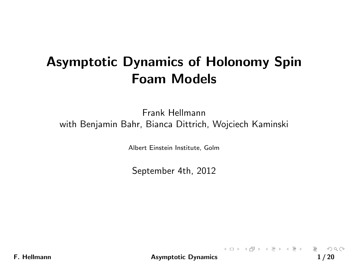# Asymptotic Dynamics of Holonomy Spin Foam Models

Frank Hellmann with Benjamin Bahr, Bianca Dittrich, Wojciech Kaminski

Albert Einstein Institute, Golm

September 4th, 2012

F. Hellmann **Asymptotic Dynamics** 1/20

<span id="page-0-0"></span>K ロ ▶ K 레 ▶ K 코 ▶ K 코 ▶ │ 코 │ ◆ 9,9,0°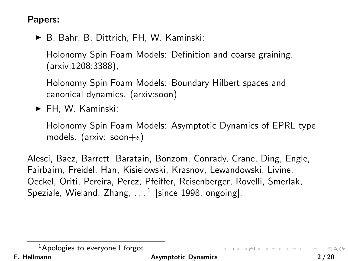#### Papers:

▶ B. Bahr, B. Dittrich, FH, W. Kaminski:

Holonomy Spin Foam Models: Definition and coarse graining. (arxiv:1208:3388),

Holonomy Spin Foam Models: Boundary Hilbert spaces and canonical dynamics. (arxiv:soon)

 $\blacktriangleright$  FH, W. Kaminski:

Holonomy Spin Foam Models: Asymptotic Dynamics of EPRL type models. (arxiv: soon $+\epsilon$ )

Alesci, Baez, Barrett, Baratain, Bonzom, Conrady, Crane, Ding, Engle, Fairbairn, Freidel, Han, Kisielowski, Krasnov, Lewandowski, Livine, Oeckel, Oriti, Pereira, Perez, Pfeiffer, Reisenberger, Rovelli, Smerlak, Speziale, Wieland, Zhang,  $\dots^{1}$  [since 1998, ongoing].

 $OQ$ 

 $\mathbf{A} \otimes \mathbf{B} \rightarrow \mathbf{A} \otimes \mathbf{B} \rightarrow \mathbf{A} \otimes \mathbf{B} \rightarrow \mathbf{A} \otimes \mathbf{B} \rightarrow \mathbf{B} \otimes \mathbf{B} \rightarrow \mathbf{A} \otimes \mathbf{B} \rightarrow \mathbf{A} \otimes \mathbf{B} \rightarrow \mathbf{A} \otimes \mathbf{B} \rightarrow \mathbf{A} \otimes \mathbf{B} \rightarrow \mathbf{A} \otimes \mathbf{B} \rightarrow \mathbf{A} \otimes \mathbf{B} \rightarrow \mathbf{A} \otimes \mathbf{B} \rightarrow \mathbf{A} \otimes \mathbf{B} \$ 

 $<sup>1</sup>$ Apologies to everyone I forgot.</sup>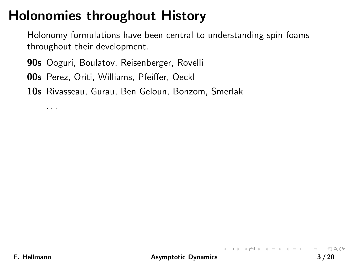# Holonomies throughout History

Holonomy formulations have been central to understanding spin foams throughout their development.

90s Ooguri, Boulatov, Reisenberger, Rovelli

00s Perez, Oriti, Williams, Pfeiffer, Oeckl

10s Rivasseau, Gurau, Ben Geloun, Bonzom, Smerlak

. . .

 $\mathcal{L} \subset \mathcal{L}$ 

K ロ > K @ > K ミ > K ミ > ニ ミ …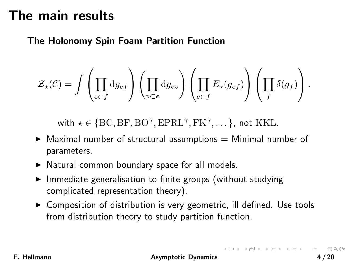#### The main results

#### The Holonomy Spin Foam Partition Function

$$
\mathcal{Z}_{\star}(\mathcal{C}) = \int \left( \prod_{e \subset f} \mathrm{d}g_{ef} \right) \left( \prod_{v \subset e} \mathrm{d}g_{ev} \right) \left( \prod_{e \subset f} E_{\star}(g_{ef}) \right) \left( \prod_{f} \delta(g_f) \right).
$$

with  $\star \in \{\text{BC}, \text{BF}, \text{BO}^{\gamma}, \text{EPRL}^{\gamma}, \text{FK}^{\gamma}, \dots\}$ , not KKL.

- $\blacktriangleright$  Maximal number of structural assumptions  $=$  Minimal number of parameters.
- $\triangleright$  Natural common boundary space for all models.
- $\blacktriangleright$  Immediate generalisation to finite groups (without studying complicated representation theory).
- $\triangleright$  Composition of distribution is very geometric, ill defined. Use tools from distribution theory to study partition function.

F. Hellmann **Asymptotic Dynamics** 4/20

 $\begin{array}{lcl} \left\{ \begin{array}{ccc} 1 & 0 & 0 \\ 0 & 1 & 0 \\ 0 & 0 & 0 \\ 0 & 0 & 0 \\ 0 & 0 & 0 \\ 0 & 0 & 0 \\ 0 & 0 & 0 \\ 0 & 0 & 0 \\ 0 & 0 & 0 \\ 0 & 0 & 0 \\ 0 & 0 & 0 \\ 0 & 0 & 0 \\ 0 & 0 & 0 \\ 0 & 0 & 0 \\ 0 & 0 & 0 \\ 0 & 0 & 0 & 0 \\ 0 & 0 & 0 & 0 \\ 0 & 0 & 0 & 0 \\ 0 & 0 & 0 & 0 \\ 0 & 0 & 0 & 0 \\ 0 & 0 &$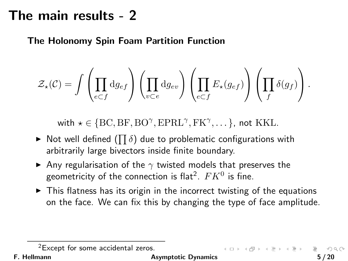#### The main results - 2

The Holonomy Spin Foam Partition Function

$$
\mathcal{Z}_{\star}(\mathcal{C}) = \int \left( \prod_{e \subset f} \mathrm{d} g_{ef} \right) \left( \prod_{v \subset e} \mathrm{d} g_{ev} \right) \left( \prod_{e \subset f} E_{\star}(g_{ef}) \right) \left( \prod_f \delta(g_f) \right).
$$

with  $\star \in \{\text{BC}, \text{BF}, \text{BO}^{\gamma}, \text{EPRL}^{\gamma}, \text{FK}^{\gamma}, \dots\}$ , not KKL.

- $\blacktriangleright$  Not well defined  $(\prod \delta)$  due to problematic configurations with arbitrarily large bivectors inside finite boundary.
- $\blacktriangleright$  Any regularisation of the  $\gamma$  twisted models that preserves the geometricity of the connection is flat $^2$ .  $FK^0$  is fine.
- $\triangleright$  This flatness has its origin in the incorrect twisting of the equations on the face. We can fix this by changing the type of face amplitude.

<sup>2</sup>Except for some accidental zeros.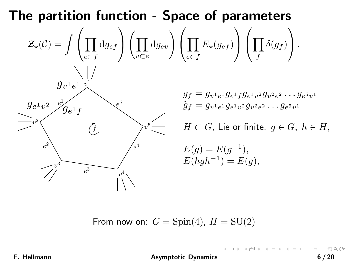

From now on:  $G = Spin(4)$ ,  $H = SU(2)$ 

F. Hellmann **Asymptotic Dynamics** 6/20

**≮ロト ⊀ 倒 ト ⊀** 

 $\equiv$  +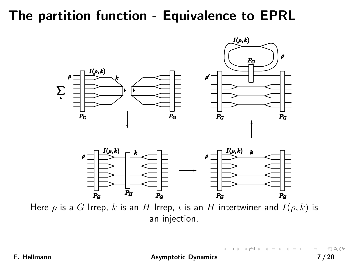### The partition function - Equivalence to EPRL



Here  $\rho$  is a G Irrep, k is an H Irrep,  $\iota$  is an H intertwiner and  $I(\rho, k)$  is an injection.

F. Hellmann **Asymptotic Dynamics** 7/20

 $\mathbb{E} \left[ \begin{array}{ccc} 1 & 0 & 0 \\ 0 & 1 & 0 \\ 0 & 0 & 0 \\ 0 & 0 & 0 \\ 0 & 0 & 0 \\ 0 & 0 & 0 \\ 0 & 0 & 0 \\ 0 & 0 & 0 \\ 0 & 0 & 0 \\ 0 & 0 & 0 \\ 0 & 0 & 0 \\ 0 & 0 & 0 \\ 0 & 0 & 0 \\ 0 & 0 & 0 & 0 \\ 0 & 0 & 0 & 0 \\ 0 & 0 & 0 & 0 \\ 0 & 0 & 0 & 0 \\ 0 & 0 & 0 & 0 \\ 0 & 0 & 0 & 0 & 0 \\ 0 & 0 & 0 & 0 &$ 

 $OQ$ 

 $\mathcal{A} \quad \mathcal{B} \quad \mathbb{P}$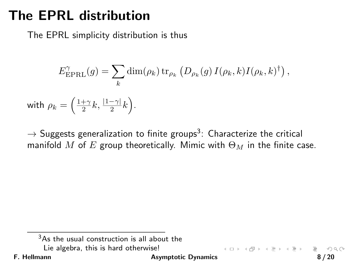### The EPRL distribution

The EPRL simplicity distribution is thus

$$
E_{\text{EPRL}}^{\gamma}(g) = \sum_{k} \dim(\rho_k) \operatorname{tr}_{\rho_k} (D_{\rho_k}(g) I(\rho_k, k) I(\rho_k, k)^{\dagger}),
$$

with  $\rho_k = \left( \frac{1+\gamma}{2}k, \frac{|1-\gamma|}{2}k \right)$ .

 $\rightarrow$  Suggests generalization to finite groups $^3$ : Characterize the critical manifold M of E group theoretically. Mimic with  $\Theta_M$  in the finite case.

F. Hellmann **Asymptotic Dynamics Asymptotic Dynamics 8** / 20

 $(1 + 4)$   $(1 + 4)$ 

 $3As$  the usual construction is all about the Lie algebra, this is hard otherwise!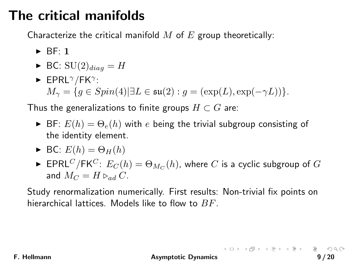# The critical manifolds

Characterize the critical manifold  $M$  of  $E$  group theoretically:

- $\triangleright$  BF: 1
- $\blacktriangleright$  BC:  $SU(2)_{diag} = H$
- $\blacktriangleright$  EPRL $^{\gamma}/$ FK $^{\gamma}$ :  $M_{\gamma} = \{g \in Spin(4) | \exists L \in \mathfrak{su}(2) : g = (\exp(L), \exp(-\gamma L))\}.$

Thus the generalizations to finite groups  $H \subset G$  are:

- $\triangleright$  BF:  $E(h) = \Theta_e(h)$  with e being the trivial subgroup consisting of the identity element.
- $\blacktriangleright$  BC:  $E(h) = \Theta_H(h)$
- $\blacktriangleright$  <code>EPRL $^C/\mathsf{FK}^C\colon E_C(h)=\Theta_{M_C}(h)$ , where  $C$  is a cyclic subgroup of  $G$ </sup></code> and  $M_C = H \triangleright_{ad} C$ .

Study renormalization numerically. First results: Non-trivial fix points on hierarchical lattices. Models like to flow to  $BF$ .

F. Hellmann **Asymptotic Dynamics** 9/20

 $\begin{array}{lcl} \left\{ \begin{array}{ccc} 1 & 0 & 0 \\ 0 & 1 & 0 \\ 0 & 0 & 0 \\ 0 & 0 & 0 \\ 0 & 0 & 0 \\ 0 & 0 & 0 \\ 0 & 0 & 0 \\ 0 & 0 & 0 \\ 0 & 0 & 0 \\ 0 & 0 & 0 \\ 0 & 0 & 0 \\ 0 & 0 & 0 \\ 0 & 0 & 0 \\ 0 & 0 & 0 \\ 0 & 0 & 0 \\ 0 & 0 & 0 & 0 \\ 0 & 0 & 0 & 0 \\ 0 & 0 & 0 & 0 \\ 0 & 0 & 0 & 0 \\ 0 & 0 & 0 & 0 \\ 0 & 0 &$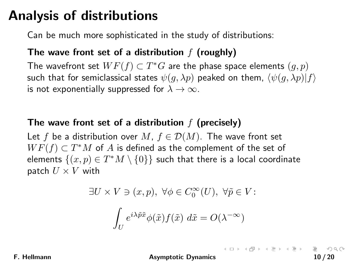### Analysis of distributions

Can be much more sophisticated in the study of distributions:

#### The wave front set of a distribution  $f$  (roughly)

The wavefront set  $WF(f)\subset T^*G$  are the phase space elements  $(g,p)$ such that for semiclassical states  $\psi(g, \lambda p)$  peaked on them,  $\langle \psi(g, \lambda p)|f \rangle$ is not exponentially suppressed for  $\lambda \to \infty$ .

#### The wave front set of a distribution  $f$  (precisely)

Let f be a distribution over M,  $f \in \mathcal{D}(M)$ . The wave front set  $WF(f) \subset T^*M$  of A is defined as the complement of the set of elements  $\{(x,p)\in T^*M\setminus\{0\}\}$  such that there is a local coordinate patch  $U \times V$  with

$$
\exists U \times V \ni (x, p), \ \forall \phi \in C_0^{\infty}(U), \ \forall \tilde{p} \in V:
$$

$$
\int_U e^{i\lambda \tilde{p}\tilde{x}} \phi(\tilde{x}) f(\tilde{x}) \ d\tilde{x} = O(\lambda^{-\infty})
$$

F. Hellmann **Asymptotic Dynamics** 10 / 20

K □ X K @ X X E X X E X Y E X Y Q Q Q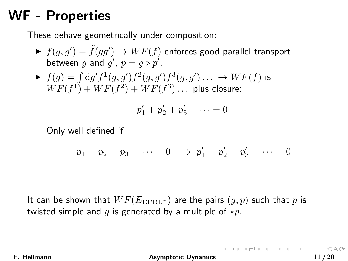### WF - Properties

These behave geometrically under composition:

- $\blacktriangleright~ f(g,g') = \tilde{f}(gg') \to WF(f)$  enforces good parallel transport between g and  $g'$ ,  $p = g \triangleright p'$ .
- $\blacktriangleright~~ f(g)=\int{\rm d}g'f^1(g,g')f^2(g,g')f^3(g,g')\ldots~\rightarrow WF(f)$  is  $WF(f^1) + WF(f^2) + WF(f^3) \ldots$  plus closure:

$$
p'_1 + p'_2 + p'_3 + \cdots = 0.
$$

Only well defined if

$$
p_1 = p_2 = p_3 = \dots = 0 \implies p'_1 = p'_2 = p'_3 = \dots = 0
$$

It can be shown that  $WF(E_{\text{EPRL}})$  are the pairs  $(g, p)$  such that p is twisted simple and q is generated by a multiple of  $*p$ .

F. Hellmann **Asymptotic Dynamics** 11/20

K □ X K @ X X E X X E X Y E X Y Q Q Q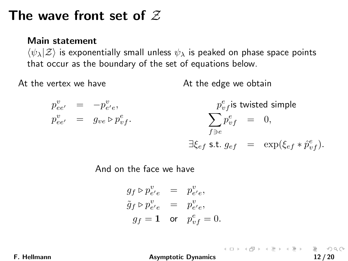#### The wave front set of  $Z$

#### Main statement

 $\langle \psi_{\lambda} | Z \rangle$  is exponentially small unless  $\psi_{\lambda}$  is peaked on phase space points that occur as the boundary of the set of equations below.

At the vertex we have

At the edge we obtain



And on the face we have

$$
g_f \triangleright p_{e'e}^v = p_{e'e}^v,
$$
  
\n
$$
\tilde{g}_f \triangleright p_{e'e}^v = p_{e'e}^v,
$$
  
\n
$$
g_f = 1 \text{ or } p_{vf}^e = 0.
$$

F. Hellmann **Asymptotic Dynamics** 12/20

(ロ) (団) (目) (目) (目) 目 のQQ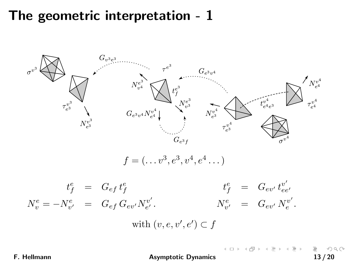#### The geometric interpretation - 1



F. Hellmann **Asymptotic Dynamics** 13/20

イロン イ部ン イミン イモン  $OQ$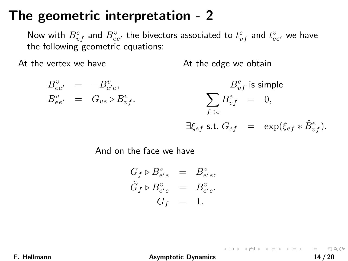#### The geometric interpretation - 2

Now with  $B_{vf}^e$  and  $B_{ee'}^v$  the bivectors associated to  $t_{vf}^e$  and  $t_{ee'}^v$  we have the following geometric equations:

At the vertex we have

At the edge we obtain

 $B^v_{ee'} = -B^v_{e'e},$  $B^v_{ee'} = G_{ve} \triangleright B^e_{vf}.$  $B^e_{vf}$  is simple  $\sum B^e_{vf}$  = 0,  $f\exists e$  $\exists \xi_{ef}$  s.t.  $G_{ef}$  =  $\exp(\xi_{ef} * \hat{B}_{vf}^e)$ .

And on the face we have

$$
G_f \triangleright B_{e'e}^v = B_{e'e}^v,
$$
  
\n
$$
\tilde{G}_f \triangleright B_{e'e}^v = B_{e'e}^v.
$$
  
\n
$$
G_f = 1.
$$

F. Hellmann **Asymptotic Dynamics** 14/20

K ロ ▶ K @ ▶ K 할 ▶ K 할 ▶ ... 할 → 9 Q Q\*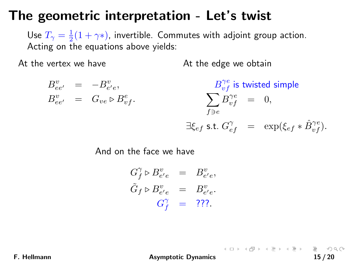#### The geometric interpretation - Let's twist

Use  $T_{\gamma} = \frac{1}{2}(1 + \gamma*)$ , invertible. Commutes with adjoint group action. Acting on the equations above yields:

At the vertex we have

At the edge we obtain

 $B^v_{ee'} = -B^v_{e'e},$  $B^v_{ee'} = G_{ve} \triangleright B^e_{vf}.$  $B^{\gamma e}_{vf}$  is twisted simple  $\sum B^{\gamma e}_{vf} \hspace{2mm} = \hspace{2mm} 0,$  $f \supseteq \rho$  $\exists \xi_{ef}$  s.t.  $G_{ef}^{\gamma}$  =  $\exp(\xi_{ef} * \hat{B}_{vf}^{\gamma e})$ .

And on the face we have

$$
G_f^{\gamma} \triangleright B_{e'e}^v = B_{e'e}^v,
$$
  
\n
$$
\tilde{G}_f \triangleright B_{e'e}^v = B_{e'e}^v.
$$
  
\n
$$
G_f^{\gamma} = 777.
$$

F. Hellmann **Asymptotic Dynamics** 15/20

(ロ) (@) (동) (동) - 동 - 990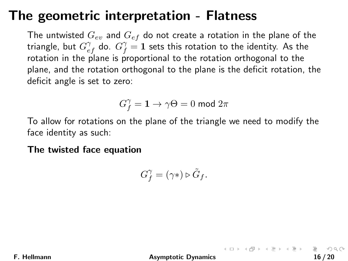### The geometric interpretation - Flatness

The untwisted  $G_{ev}$  and  $G_{ef}$  do not create a rotation in the plane of the triangle, but  $G_{ef}^{\gamma}$  do.  $G_{f}^{\gamma}=1$  sets this rotation to the identity. As the rotation in the plane is proportional to the rotation orthogonal to the plane, and the rotation orthogonal to the plane is the deficit rotation, the deficit angle is set to zero:

$$
G_f^\gamma = \mathbf{1} \to \gamma \Theta = 0 \text{ mod } 2\pi
$$

To allow for rotations on the plane of the triangle we need to modify the face identity as such:

The twisted face equation

$$
G^\gamma_f=(\gamma*)\triangleright\tilde{G}_f.
$$

F. Hellmann [Asymptotic Dynamics](#page-0-0) 16 / 20

K ロ ▶ K @ ▶ K ミ ▶ K ミ ▶ │ 글 │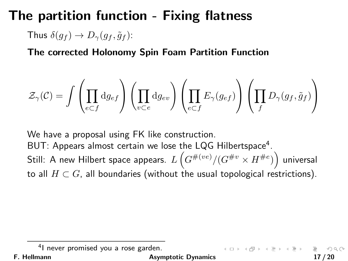### The partition function - Fixing flatness

Thus  $\delta(q_f) \rightarrow D_{\gamma}(q_f, \tilde{q}_f)$ :

The corrected Holonomy Spin Foam Partition Function

$$
\mathcal{Z}_{\gamma}(\mathcal{C}) = \int \left( \prod_{e \subset f} \mathrm{d} g_{ef} \right) \left( \prod_{v \subset e} \mathrm{d} g_{ev} \right) \left( \prod_{e \subset f} E_{\gamma}(g_{ef}) \right) \left( \prod_f D_{\gamma}(g_f, \tilde{g}_f) \right)
$$

We have a proposal using FK like construction. BUT: Appears almost certain we lose the LQG Hilbertspace<sup>4</sup>. Still: A new Hilbert space appears.  $L\left(G^{\#(ve)}/(G^{\#v} \times H^{\#e})\right)$  universal to all  $H \subset G$ , all boundaries (without the usual topological restrictions).

F. Hellmann **Asymptotic Dynamics** 17/20

<sup>&</sup>lt;sup>4</sup>I never promised you a rose garden.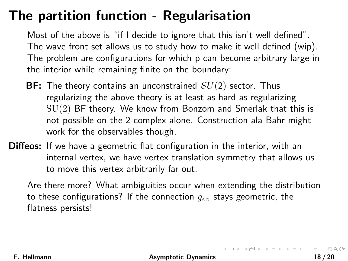# The partition function - Regularisation

Most of the above is "if I decide to ignore that this isn't well defined". The wave front set allows us to study how to make it well defined (wip). The problem are configurations for which p can become arbitrary large in the interior while remaining finite on the boundary:

- **BF:** The theory contains an unconstrained  $SU(2)$  sector. Thus regularizing the above theory is at least as hard as regularizing  $SU(2)$  BF theory. We know from Bonzom and Smerlak that this is not possible on the 2-complex alone. Construction ala Bahr might work for the observables though.
- **Diffeos:** If we have a geometric flat configuration in the interior, with an internal vertex, we have vertex translation symmetry that allows us to move this vertex arbitrarily far out.

Are there more? What ambiguities occur when extending the distribution to these configurations? If the connection  $g_{ev}$  stays geometric, the flatness persists!

F. Hellmann [Asymptotic Dynamics](#page-0-0) 18 / 20

 $OQ$ 

K ロ ▶ K @ ▶ K ミ ▶ K ミ ▶ │ 글 │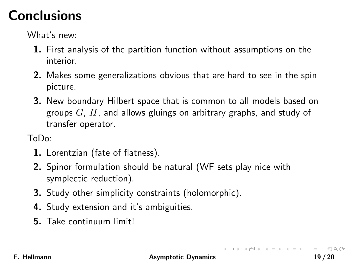# **Conclusions**

What's new:

- 1. First analysis of the partition function without assumptions on the interior.
- 2. Makes some generalizations obvious that are hard to see in the spin picture.
- 3. New boundary Hilbert space that is common to all models based on groups  $G$ ,  $H$ , and allows gluings on arbitrary graphs, and study of transfer operator.

ToDo:

- 1. Lorentzian (fate of flatness).
- 2. Spinor formulation should be natural (WF sets play nice with symplectic reduction).
- 3. Study other simplicity constraints (holomorphic).
- 4. Study extension and it's ambiguities.
- 5. Take continuum limit!

F. Hellmann **Asymptotic Dynamics** 19/20

イロン イ部ン イミン イミン

 $OQ$